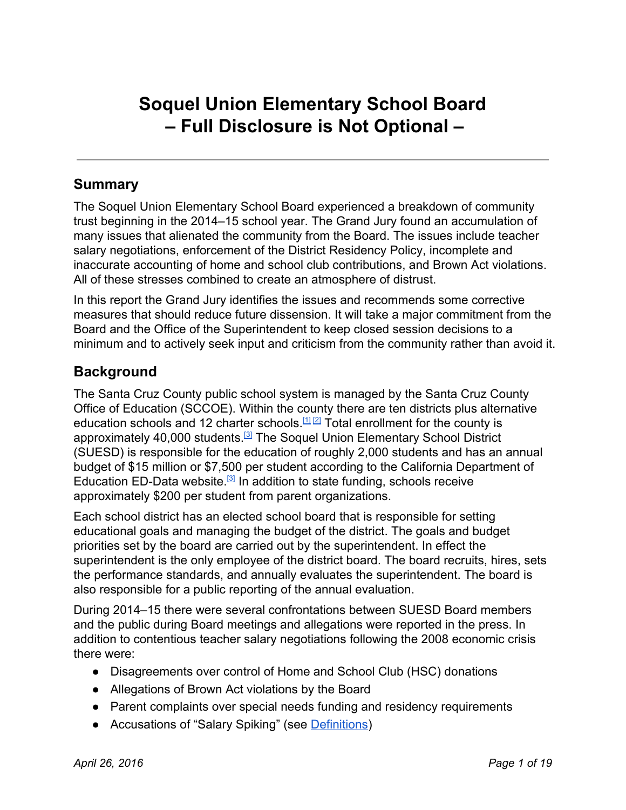# **Soquel Union Elementary School Board – Full Disclosure is Not Optional –**

# **Summary**

The Soquel Union Elementary School Board experienced a breakdown of community trust beginning in the 2014–15 school year. The Grand Jury found an accumulation of many issues that alienated the community from the Board. The issues include teacher salary negotiations, enforcement of the District Residency Policy, incomplete and inaccurate accounting of home and school club contributions, and Brown Act violations. All of these stresses combined to create an atmosphere of distrust.

In this report the Grand Jury identifies the issues and recommends some corrective measures that should reduce future dissension. It will take a major commitment from the Board and the Office of the Superintendent to keep closed session decisions to a minimum and to actively seek input and criticism from the community rather than avoid it.

# **Background**

The Santa Cruz County public school system is managed by the Santa Cruz County Office of Education (SCCOE). Within the county there are ten districts plus alternative education schools and 12 charter schools. [\[1\]](http://www.santacruz.k12.ca.us/) [\[2\]](http://www.cde.ca.gov/ds/si/cs/ap1/countyresults.aspx?id=44) Total enrollment for the county is approximately 40,000 students.<sup>[\[3\]](http://www.ed-data.k12.ca.us/App_Resx/EdDataClassic/fsTwoPanel.aspx?#!bottom=/_layouts/EdDataClassic/profile.asp?tab=1&level=05&ReportNumber=16&County=44&fyr=1314)</sup> The Soquel Union Elementary School District (SUESD) is responsible for the education of roughly 2,000 students and has an annual budget of \$15 million or \$7,500 per student according to the California Department of Education ED-Data website.<sup>[\[3\]](http://www.ed-data.k12.ca.us/App_Resx/EdDataClassic/fsTwoPanel.aspx?#!bottom=/_layouts/EdDataClassic/profile.asp?tab=1&level=05&ReportNumber=16&County=44&fyr=1314)</sup> In addition to state funding, schools receive approximately \$200 per student from parent organizations.

Each school district has an elected school board that is responsible for setting educational goals and managing the budget of the district. The goals and budget priorities set by the board are carried out by the superintendent. In effect the superintendent is the only employee of the district board. The board recruits, hires, sets the performance standards, and annually evaluates the superintendent. The board is also responsible for a public reporting of the annual evaluation.

During 2014–15 there were several confrontations between SUESD Board members and the public during Board meetings and allegations were reported in the press. In addition to contentious teacher salary negotiations following the 2008 economic crisis there were:

- Disagreements over control of Home and School Club (HSC) donations
- Allegations of Brown Act violations by the Board
- Parent complaints over special needs funding and residency requirements
- Accusations of "Salary Spiking" (see [Definitions\)](#page-13-0)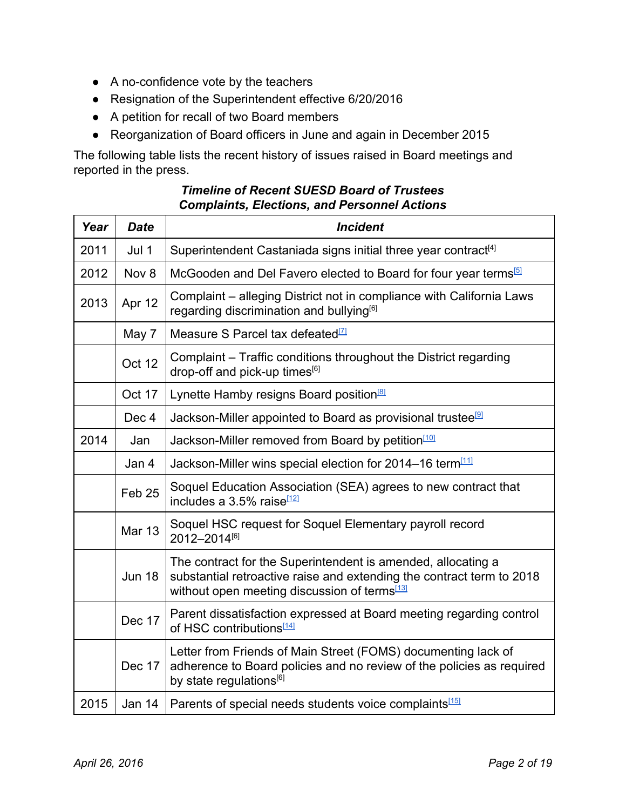- A no-confidence vote by the teachers
- Resignation of the Superintendent effective 6/20/2016
- A petition for recall of two Board members
- Reorganization of Board officers in June and again in December 2015

The following table lists the recent history of issues raised in Board meetings and reported in the press.

| Year | <b>Date</b>       | <b>Incident</b>                                                                                                                                                                                   |  |  |
|------|-------------------|---------------------------------------------------------------------------------------------------------------------------------------------------------------------------------------------------|--|--|
| 2011 | Jul 1             | Superintendent Castaniada signs initial three year contract <sup>[4]</sup>                                                                                                                        |  |  |
| 2012 | Nov 8             | McGooden and Del Favero elected to Board for four year terms <sup>[5]</sup>                                                                                                                       |  |  |
| 2013 | Apr 12            | Complaint – alleging District not in compliance with California Laws<br>regarding discrimination and bullying <sup>[6]</sup>                                                                      |  |  |
|      | May 7             | Measure S Parcel tax defeated <sup>[7]</sup>                                                                                                                                                      |  |  |
|      | Oct 12            | Complaint – Traffic conditions throughout the District regarding<br>drop-off and pick-up times <sup>[6]</sup>                                                                                     |  |  |
|      | Oct 17            | Lynette Hamby resigns Board position <sup>[8]</sup>                                                                                                                                               |  |  |
|      | Dec 4             | Jackson-Miller appointed to Board as provisional trustee <sup>[9]</sup>                                                                                                                           |  |  |
| 2014 | Jan               | Jackson-Miller removed from Board by petition <sup>[10]</sup>                                                                                                                                     |  |  |
|      | Jan 4             | Jackson-Miller wins special election for 2014-16 term <sup>[11]</sup>                                                                                                                             |  |  |
|      | Feb <sub>25</sub> | Soquel Education Association (SEA) agrees to new contract that<br>includes a 3.5% raise <sup>[12]</sup>                                                                                           |  |  |
|      | <b>Mar 13</b>     | Soquel HSC request for Soquel Elementary payroll record<br>2012-2014[6]                                                                                                                           |  |  |
|      | <b>Jun 18</b>     | The contract for the Superintendent is amended, allocating a<br>substantial retroactive raise and extending the contract term to 2018<br>without open meeting discussion of terms <sup>[13]</sup> |  |  |
|      | <b>Dec 17</b>     | Parent dissatisfaction expressed at Board meeting regarding control<br>of HSC contributions <sup>[14]</sup>                                                                                       |  |  |
|      | Dec 17            | Letter from Friends of Main Street (FOMS) documenting lack of<br>adherence to Board policies and no review of the policies as required<br>by state regulations <sup>[6]</sup>                     |  |  |
| 2015 | Jan 14            | Parents of special needs students voice complaints <sup>[15]</sup>                                                                                                                                |  |  |

#### *Timeline of Recent SUESD Board of Trustees Complaints, Elections, and Personnel Actions*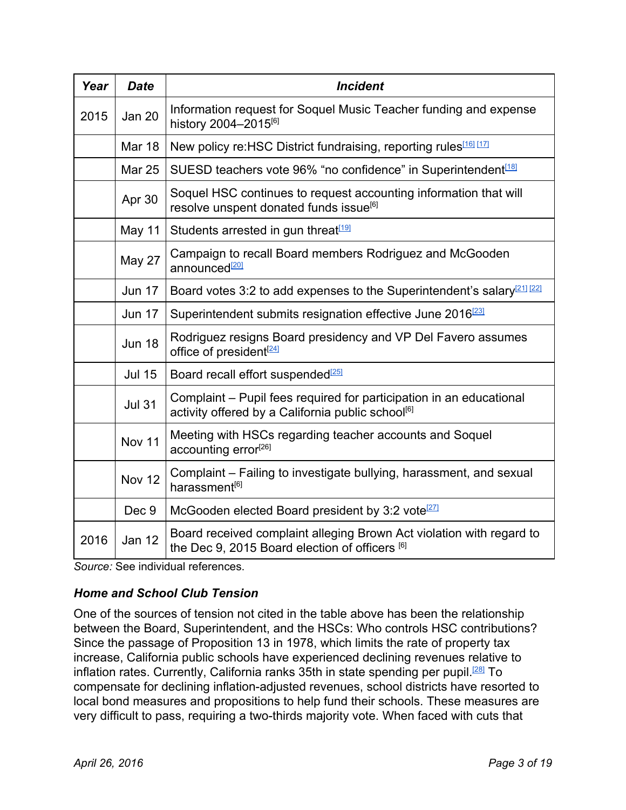| Year | <b>Date</b>   | <b>Incident</b>                                                                                                                      |  |  |
|------|---------------|--------------------------------------------------------------------------------------------------------------------------------------|--|--|
| 2015 | <b>Jan 20</b> | Information request for Soquel Music Teacher funding and expense<br>history 2004-2015[6]                                             |  |  |
|      | <b>Mar 18</b> | New policy re: HSC District fundraising, reporting rules <sup>[16]</sup> [17]                                                        |  |  |
|      | <b>Mar 25</b> | SUESD teachers vote 96% "no confidence" in Superintendent <sup>[18]</sup>                                                            |  |  |
|      | Apr 30        | Soquel HSC continues to request accounting information that will<br>resolve unspent donated funds issue <sup>[6]</sup>               |  |  |
|      | May 11        | Students arrested in gun threat <sup>[19]</sup>                                                                                      |  |  |
|      | May 27        | Campaign to recall Board members Rodriguez and McGooden<br>announced <sup>[20]</sup>                                                 |  |  |
|      | <b>Jun 17</b> | Board votes 3:2 to add expenses to the Superintendent's salary <sup>[21]</sup> [22]                                                  |  |  |
|      | <b>Jun 17</b> | Superintendent submits resignation effective June 2016 <sup>[23]</sup>                                                               |  |  |
|      | <b>Jun 18</b> | Rodriguez resigns Board presidency and VP Del Favero assumes<br>office of president <sup>[24]</sup>                                  |  |  |
|      | <b>Jul 15</b> | Board recall effort suspended <sup>[25]</sup>                                                                                        |  |  |
|      | <b>Jul 31</b> | Complaint – Pupil fees required for participation in an educational<br>activity offered by a California public school <sup>[6]</sup> |  |  |
|      | Nov 11        | Meeting with HSCs regarding teacher accounts and Soquel<br>accounting error <sup>[26]</sup>                                          |  |  |
|      | <b>Nov 12</b> | Complaint – Failing to investigate bullying, harassment, and sexual<br>harassment <sup>[6]</sup>                                     |  |  |
|      | Dec 9         | McGooden elected Board president by 3:2 vote <sup>[27]</sup>                                                                         |  |  |
| 2016 | Jan 12        | Board received complaint alleging Brown Act violation with regard to<br>the Dec 9, 2015 Board election of officers [6]               |  |  |

*Source:* See individual references.

### *Home and School Club Tension*

One of the sources of tension not cited in the table above has been the relationship between the Board, Superintendent, and the HSCs: Who controls HSC contributions? Since the passage of Proposition 13 in 1978, which limits the rate of property tax increase, California public schools have experienced declining revenues relative to inflation rates. Currently, California ranks 35th in state spending per pupil.<sup>[\[28\]](http://www.edweek.org/media/16qc-schoolfinancec1.pdf)</sup> To compensate for declining inflation-adjusted revenues, school districts have resorted to local bond measures and propositions to help fund their schools. These measures are very difficult to pass, requiring a two-thirds majority vote. When faced with cuts that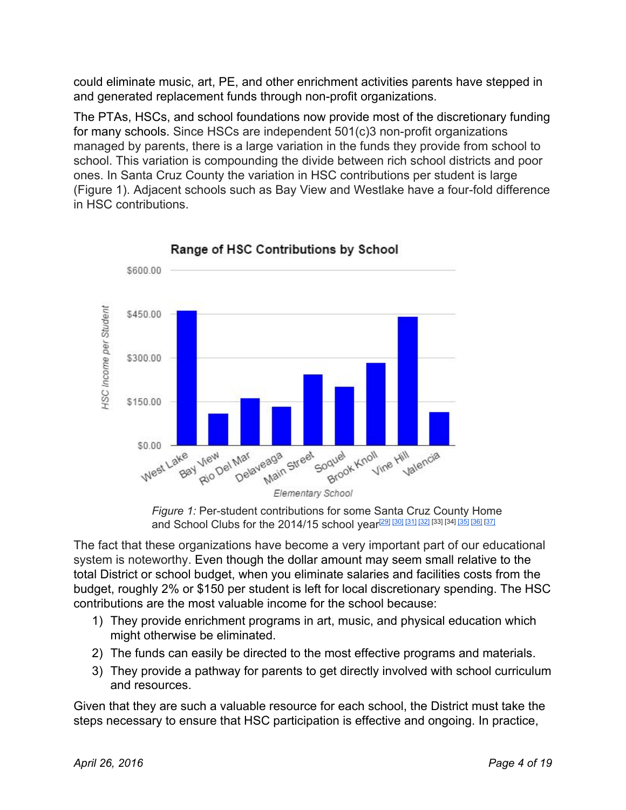could eliminate music, art, PE, and other enrichment activities parents have stepped in and generated replacement funds through non-profit organizations.

The PTAs, HSCs, and school foundations now provide most of the discretionary funding for many schools. Since HSCs are independent  $501(c)3$  non-profit organizations managed by parents, there is a large variation in the funds they provide from school to school. This variation is compounding the divide between rich school districts and poor ones. In Santa Cruz County the variation in HSC contributions per student is large (Figure 1). Adjacent schools such as Bay View and Westlake have a four-fold difference in HSC contributions.

<span id="page-3-0"></span>

Range of HSC Contributions by School

The fact that these organizations have become a very important part of our educational system is noteworthy. Even though the dollar amount may seem small relative to the total District or school budget, when you eliminate salaries and facilities costs from the budget, roughly 2% or \$150 per student is left for local discretionary spending. The HSC contributions are the most valuable income for the school because:

- 1) They provide enrichment programs in art, music, and physical education which might otherwise be eliminated.
- 2) The funds can easily be directed to the most effective programs and materials.
- 3) They provide a pathway for parents to get directly involved with school curriculum and resources.

Given that they are such a valuable resource for each school, the District must take the steps necessary to ensure that HSC participation is effective and ongoing. In practice,

*Figure* 1: Per-student contributions for some Santa Cruz County Home and School Clubs for the 2014/15 school year<sup>[\[29\]](http://www.supportwestlake.org/uploads/2/4/5/2/24525908/budget14-15june.pdf) [\[30\]](http://bayview.sccs.net/get_involved_/home_and_school_club) [\[31\]](https://riodelmarpa.files.wordpress.com/2014/09/2014-15-budget-proposed.pdf) [\[32\]](http://sccsdelaveaga.ss8.sharpschool.com/parents/ptc) [33] [34] [\[35\]](http://www.bkec.info/your-dollars-at-work.html) [\[36\]](http://www.vinehillpta.org/#!what/cee5) [\[37\]](http://homeandschoolclub.org/2014/08/2014-2015budget/)</sup>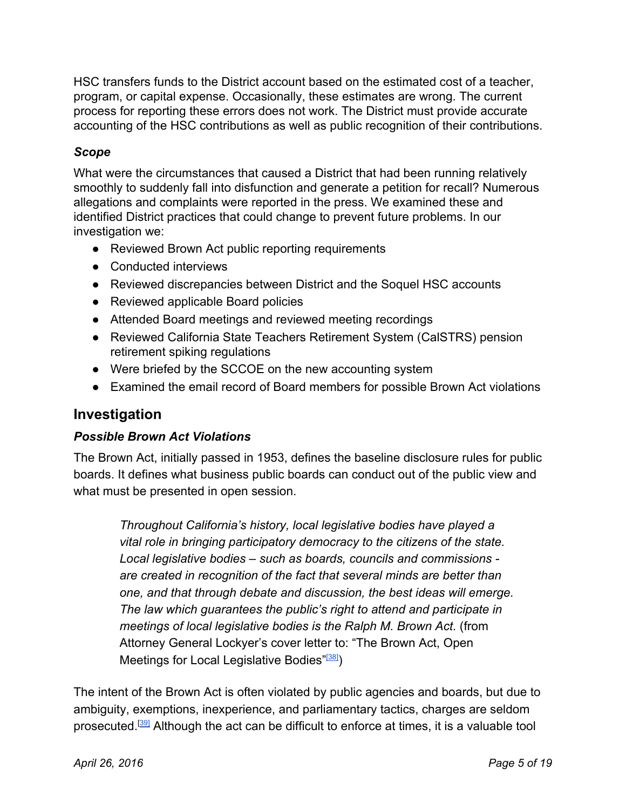HSC transfers funds to the District account based on the estimated cost of a teacher, program, or capital expense. Occasionally, these estimates are wrong. The current process for reporting these errors does not work. The District must provide accurate accounting of the HSC contributions as well as public recognition of their contributions.

### *Scope*

What were the circumstances that caused a District that had been running relatively smoothly to suddenly fall into disfunction and generate a petition for recall? Numerous allegations and complaints were reported in the press. We examined these and identified District practices that could change to prevent future problems. In our investigation we:

- Reviewed Brown Act public reporting requirements
- Conducted interviews
- Reviewed discrepancies between District and the Soquel HSC accounts
- Reviewed applicable Board policies
- Attended Board meetings and reviewed meeting recordings
- Reviewed California State Teachers Retirement System (CalSTRS) pension retirement spiking regulations
- Were briefed by the SCCOE on the new accounting system
- Examined the email record of Board members for possible Brown Act violations

# **Investigation**

### *Possible Brown Act Violations*

The Brown Act, initially passed in 1953, defines the baseline disclosure rules for public boards. It defines what business public boards can conduct out of the public view and what must be presented in open session.

*Throughout California's history, local legislative bodies have played a vital role in bringing participatory democracy to the citizens of the state. Local legislative bodies – such as boards, councils and commissions are created in recognition of the fact that several minds are better than one, and that through debate and discussion, the best ideas will emerge. The law which guarantees the public's right to attend and participate in meetings of local legislative bodies is the Ralph M. Brown Act.* (from Attorney General Lockyer's cover letter to: "The Brown Act, Open Meetings for Local Legislative Bodies"<sup>[\[38\]](http://ag.ca.gov/publications/2003_Intro_BrownAct.pdf)</sup>)

The intent of the Brown Act is often violated by public agencies and boards, but due to ambiguity, exemptions, inexperience, and parliamentary tactics, charges are seldom prosecuted.<sup>[[39\]](https://firstamendmentcoalition.org/open-meetings-3/facs-brown-act-primer/brown-act-primer-enforcement/)</sup> Although the act can be difficult to enforce at times, it is a valuable tool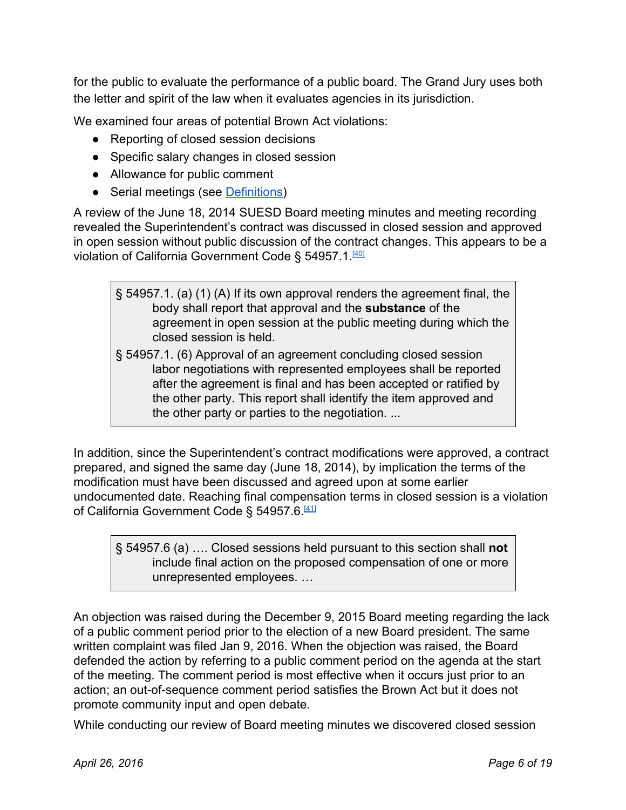for the public to evaluate the performance of a public board. The Grand Jury uses both the letter and spirit of the law when it evaluates agencies in its jurisdiction.

We examined four areas of potential Brown Act violations:

- Reporting of closed session decisions
- Specific salary changes in closed session
- Allowance for public comment
- Serial meetings (see [Definitions\)](#page-13-1)

A review of the June 18, 2014 SUESD Board meeting minutes and meeting recording revealed the Superintendent's contract was discussed in closed session and approved in open session without public discussion of the contract changes. This appears to be a violation of California Government Code § 54957.1.<sup>[\[40\]](http://leginfo.legislature.ca.gov/faces/codes_displaySection.xhtml?lawCode=GOV§ionNum=54957.1)</sup>

- § 54957.1. (a) (1) (A) If its own approval renders the agreement final, the body shall report that approval and the **substance**of the agreement in open session at the public meeting during which the closed session is held.
- § 54957.1. (6) Approval of an agreement concluding closed session labor negotiations with represented employees shall be reported after the agreement is final and has been accepted or ratified by the other party. This report shall identify the item approved and the other party or parties to the negotiation. ...

In addition, since the Superintendent's contract modifications were approved, a contract prepared, and signed the same day (June 18, 2014), by implication the terms of the modification must have been discussed and agreed upon at some earlier undocumented date. Reaching final compensation terms in closed session is a violation of California Government Code § 54957.6.<sup>[\[41\]](http://leginfo.legislature.ca.gov/faces/codes_displaySection.xhtml?sectionNum=54957.6.&lawCode=GOV)</sup>

§ 54957.6 (a) …. Closed sessions held pursuant to this section shall **not** include final action on the proposed compensation of one or more unrepresented employees. …

An objection was raised during the December 9, 2015 Board meeting regarding the lack of a public comment period prior to the election of a new Board president. The same written complaint was filed Jan 9, 2016. When the objection was raised, the Board defended the action by referring to a public comment period on the agenda at the start of the meeting. The comment period is most effective when it occurs just prior to an action; an out-of-sequence comment period satisfies the Brown Act but it does not promote community input and open debate.

While conducting our review of Board meeting minutes we discovered closed session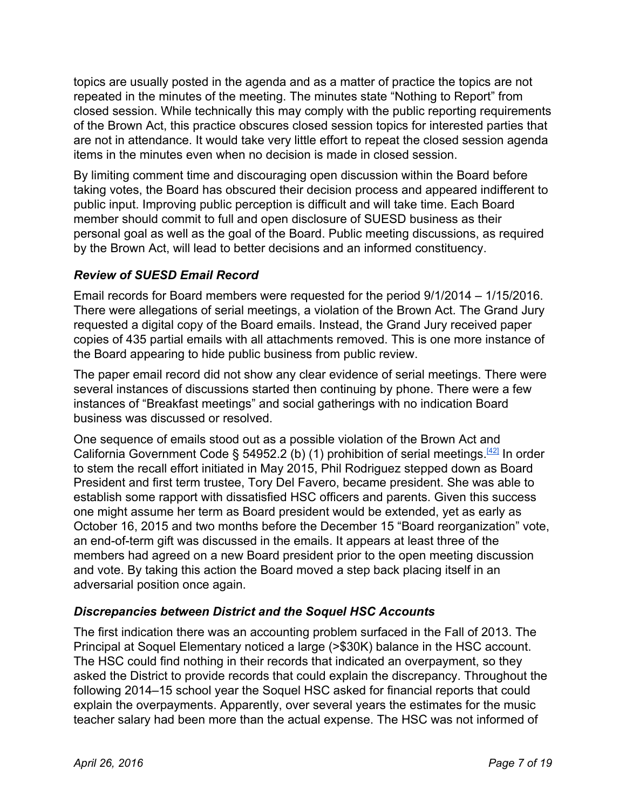topics are usually posted in the agenda and as a matter of practice the topics are not repeated in the minutes of the meeting. The minutes state "Nothing to Report" from closed session. While technically this may comply with the public reporting requirements of the Brown Act, this practice obscures closed session topics for interested parties that are not in attendance. It would take very little effort to repeat the closed session agenda items in the minutes even when no decision is made in closed session.

By limiting comment time and discouraging open discussion within the Board before taking votes, the Board has obscured their decision process and appeared indifferent to public input. Improving public perception is difficult and will take time. Each Board member should commit to full and open disclosure of SUESD business as their personal goal as well as the goal of the Board. Public meeting discussions, as required by the Brown Act, will lead to better decisions and an informed constituency.

### *Review of SUESD Email Record*

Email records for Board members were requested for the period 9/1/2014 – 1/15/2016. There were allegations of serial meetings, a violation of the Brown Act. The Grand Jury requested a digital copy of the Board emails. Instead, the Grand Jury received paper copies of 435 partial emails with all attachments removed. This is one more instance of the Board appearing to hide public business from public review.

The paper email record did not show any clear evidence of serial meetings. There were several instances of discussions started then continuing by phone. There were a few instances of "Breakfast meetings" and social gatherings with no indication Board business was discussed or resolved.

One sequence of emails stood out as a possible violation of the Brown Act and California Government Code § 54952.2 (b) (1) prohibition of serial meetings.<sup>[\[42\]](http://leginfo.legislature.ca.gov/faces/codes_displaySection.xhtml?lawCode=GOV§ionNum=54952.2)</sup> In order to stem the recall effort initiated in May 2015, Phil Rodriguez stepped down as Board President and first term trustee, Tory Del Favero, became president. She was able to establish some rapport with dissatisfied HSC officers and parents. Given this success one might assume her term as Board president would be extended, yet as early as October 16, 2015 and two months before the December 15 "Board reorganization" vote, an end-of-term gift was discussed in the emails. It appears at least three of the members had agreed on a new Board president prior to the open meeting discussion and vote. By taking this action the Board moved a step back placing itself in an adversarial position once again.

# *Discrepancies between District and the Soquel HSC Accounts*

The first indication there was an accounting problem surfaced in the Fall of 2013. The Principal at Soquel Elementary noticed a large (>\$30K) balance in the HSC account. The HSC could find nothing in their records that indicated an overpayment, so they asked the District to provide records that could explain the discrepancy. Throughout the following 2014–15 school year the Soquel HSC asked for financial reports that could explain the overpayments. Apparently, over several years the estimates for the music teacher salary had been more than the actual expense. The HSC was not informed of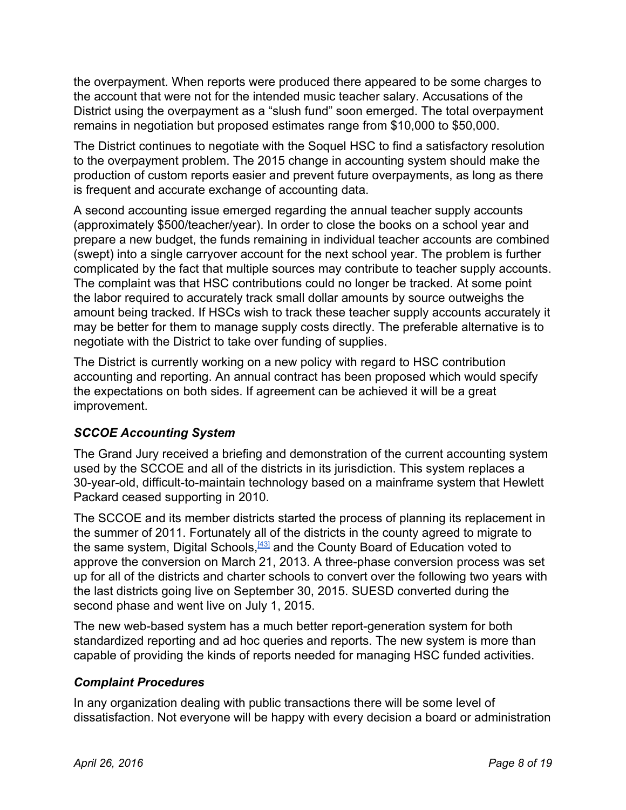the overpayment. When reports were produced there appeared to be some charges to the account that were not for the intended music teacher salary. Accusations of the District using the overpayment as a "slush fund" soon emerged. The total overpayment remains in negotiation but proposed estimates range from \$10,000 to \$50,000.

The District continues to negotiate with the Soquel HSC to find a satisfactory resolution to the overpayment problem. The 2015 change in accounting system should make the production of custom reports easier and prevent future overpayments, as long as there is frequent and accurate exchange of accounting data.

A second accounting issue emerged regarding the annual teacher supply accounts (approximately \$500/teacher/year). In order to close the books on a school year and prepare a new budget, the funds remaining in individual teacher accounts are combined (swept) into a single carryover account for the next school year. The problem is further complicated by the fact that multiple sources may contribute to teacher supply accounts. The complaint was that HSC contributions could no longer be tracked. At some point the labor required to accurately track small dollar amounts by source outweighs the amount being tracked. If HSCs wish to track these teacher supply accounts accurately it may be better for them to manage supply costs directly. The preferable alternative is to negotiate with the District to take over funding of supplies.

The District is currently working on a new policy with regard to HSC contribution accounting and reporting. An annual contract has been proposed which would specify the expectations on both sides. If agreement can be achieved it will be a great improvement.

### *SCCOE Accounting System*

The Grand Jury received a briefing and demonstration of the current accounting system used by the SCCOE and all of the districts in its jurisdiction. This system replaces a 30-year-old, difficult-to-maintain technology based on a mainframe system that Hewlett Packard ceased supporting in 2010.

The SCCOE and its member districts started the process of planning its replacement in the summer of 2011. Fortunately all of the districts in the county agreed to migrate to the same system, Digital Schools, **[\[43\]](http://www.digital-schools.com/)** and the County Board of Education voted to approve the conversion on March 21, 2013. A three-phase conversion process was set up for all of the districts and charter schools to convert over the following two years with the last districts going live on September 30, 2015. SUESD converted during the second phase and went live on July 1, 2015.

The new web-based system has a much better report-generation system for both standardized reporting and ad hoc queries and reports. The new system is more than capable of providing the kinds of reports needed for managing HSC funded activities.

#### *Complaint Procedures*

In any organization dealing with public transactions there will be some level of dissatisfaction. Not everyone will be happy with every decision a board or administration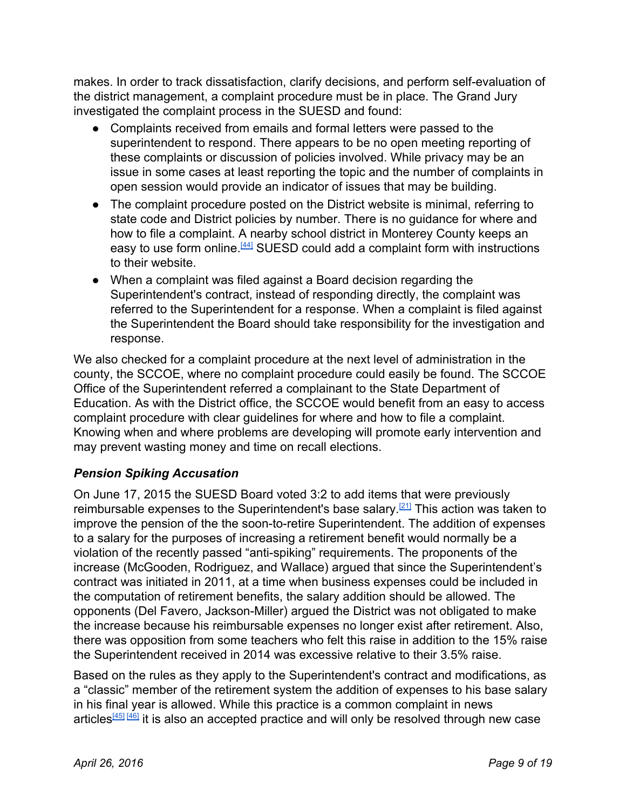makes. In order to track dissatisfaction, clarify decisions, and perform self-evaluation of the district management, a complaint procedure must be in place. The Grand Jury investigated the complaint process in the SUESD and found:

- Complaints received from emails and formal letters were passed to the superintendent to respond. There appears to be no open meeting reporting of these complaints or discussion of policies involved. While privacy may be an issue in some cases at least reporting the topic and the number of complaints in open session would provide an indicator of issues that may be building.
- The complaint procedure posted on the District website is minimal, referring to state code and District policies by number. There is no guidance for where and how to file a complaint. A nearby school district in Monterey County keeps an easy to use form online.<sup>[\[44\]](http://www.mpusd.k12.ca.us/complaintforms)</sup> SUESD could add a complaint form with instructions to their website.
- When a complaint was filed against a Board decision regarding the Superintendent's contract, instead of responding directly, the complaint was referred to the Superintendent for a response. When a complaint is filed against the Superintendent the Board should take responsibility for the investigation and response.

We also checked for a complaint procedure at the next level of administration in the county, the SCCOE, where no complaint procedure could easily be found. The SCCOE Office of the Superintendent referred a complainant to the State Department of Education. As with the District office, the SCCOE would benefit from an easy to access complaint procedure with clear guidelines for where and how to file a complaint. Knowing when and where problems are developing will promote early intervention and may prevent wasting money and time on recall elections.

# *Pension Spiking Accusation*

On June 17, 2015 the SUESD Board voted 3:2 to add items that were previously reimbursable expenses to the Superintendent's base salary.<sup>[\[21\]](http://www.soqueldo.santacruz.k12.ca.us/Previous%20Minutes/minutes_061715.pdf)</sup> This action was taken to improve the pension of the the soon-to-retire Superintendent. The addition of expenses to a salary for the purposes of increasing a retirement benefit would normally be a violation of the recently passed "anti-spiking" requirements. The proponents of the increase (McGooden, Rodriguez, and Wallace) argued that since the Superintendent's contract was initiated in 2011, at a time when business expenses could be included in the computation of retirement benefits, the salary addition should be allowed. The opponents (Del Favero, Jackson-Miller) argued the District was not obligated to make the increase because his reimbursable expenses no longer exist after retirement. Also, there was opposition from some teachers who felt this raise in addition to the 15% raise the Superintendent received in 2014 was excessive relative to their 3.5% raise.

Based on the rules as they apply to the Superintendent's contract and modifications, as a "classic" member of the retirement system the addition of expenses to his base salary in his final year is allowed. While this practice is a common complaint in news articles<sup>[\[45\]](http://www.contracostatimes.com/bay-area-news/ci_29269603/orinda-superintendents-contract-change-boosts-salary-before-retirement) [\[46\]](http://www.sacbee.com/news/investigations/the-public-eye/article35008617.html)</sup> it is also an accepted practice and will only be resolved through new case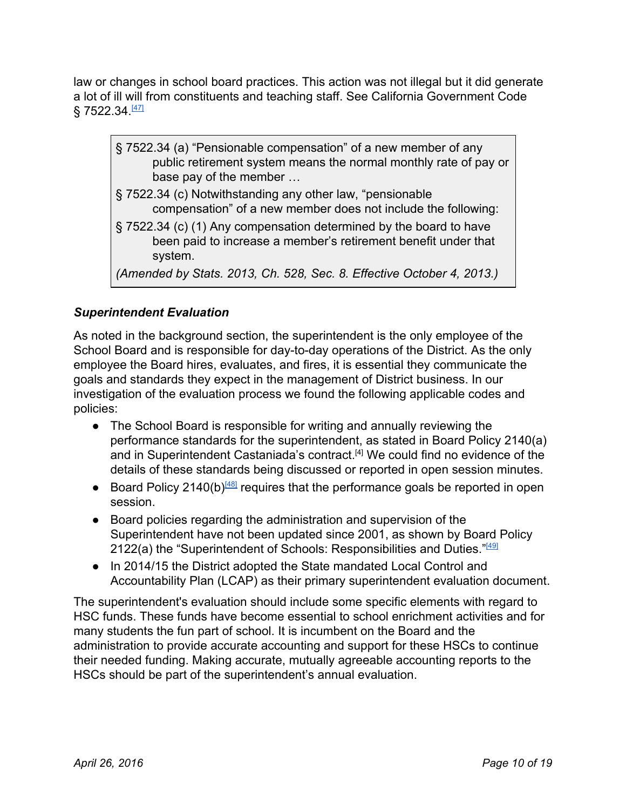law or changes in school board practices. This action was not illegal but it did generate a lot of ill will from constituents and teaching staff. See California Government Code § 7522.34.<sup>[\[47\]](http://leginfo.legislature.ca.gov/faces/codes_displaySection.xhtml?lawCode=GOV§ionNum=7522.34)</sup>

- § 7522.34 (a) "Pensionable compensation" of a new member of any public retirement system means the normal monthly rate of pay or base pay of the member …
- § 7522.34 (c) Notwithstanding any other law, "pensionable compensation" of a new member does not include the following:
- § 7522.34 (c) (1) Any compensation determined by the board to have been paid to increase a member's retirement benefit under that system.

*(Amended by Stats. 2013, Ch. 528, Sec. 8. Effective October 4, 2013.)*

# *Superintendent Evaluation*

As noted in the background section, the superintendent is the only employee of the School Board and is responsible for day-to-day operations of the District. As the only employee the Board hires, evaluates, and fires, it is essential they communicate the goals and standards they expect in the management of District business. In our investigation of the evaluation process we found the following applicable codes and policies:

- The School Board is responsible for writing and annually reviewing the performance standards for the superintendent, as stated in Board Policy 2140(a) and in Superintendent Castaniada's contract.<sup>[4]</sup> We could find no evidence of the details of these standards being discussed or reported in open session minutes.
- Board Policy 2140(b)<sup>[\[48\]](http://www.soqueldo.santacruz.k12.ca.us/board_policies/2000/BP2140.pdf)</sup> requires that the performance goals be reported in open session.
- Board policies regarding the administration and supervision of the Superintendent have not been updated since 2001, as shown by Board Policy 2122(a) the "Superintendent of Schools: Responsibilities and Duties."<sup>[\[49\]](http://www.soqueldo.santacruz.k12.ca.us/board_policies/2000/BP2122.pdf)</sup>
- In 2014/15 the District adopted the State mandated Local Control and Accountability Plan (LCAP) as their primary superintendent evaluation document.

The superintendent's evaluation should include some specific elements with regard to HSC funds. These funds have become essential to school enrichment activities and for many students the fun part of school. It is incumbent on the Board and the administration to provide accurate accounting and support for these HSCs to continue their needed funding. Making accurate, mutually agreeable accounting reports to the HSCs should be part of the superintendent's annual evaluation.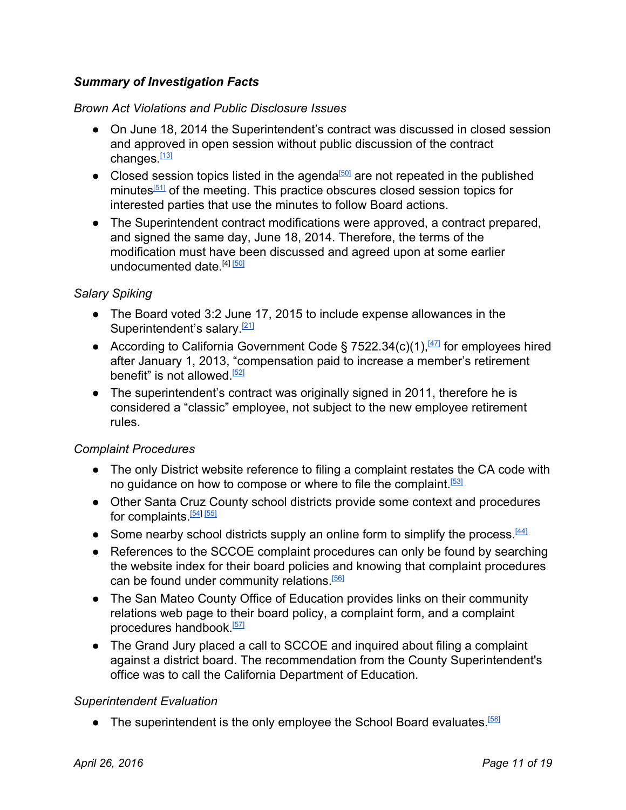### *Summary of Investigation Facts*

#### *Brown Act Violations and Public Disclosure Issues*

- On June 18, 2014 the Superintendent's contract was discussed in closed session and approved in open session without public discussion of the contract changes.<sup>[\[13\]](http://www.soqueldo.santacruz.k12.ca.us/Previous%20Minutes/minutes_061814.pdf)</sup>
- Closed session topics listed in the agenda<sup>[\[50\]](http://www.soqueldo.santacruz.k12.ca.us/board_agendas/board_packet061814.pdf)</sup> are not repeated in the published minutes<sup>[\[51\]](http://www.soqueldo.santacruz.k12.ca.us/Previous%20Minutes/minutes_061814.pdf)</sup> of the meeting. This practice obscures closed session topics for interested parties that use the minutes to follow Board actions.
- The Superintendent contract modifications were approved, a contract prepared, and signed the same day, June 18, 2014. Therefore, the terms of the modification must have been discussed and agreed upon at some earlier undocumented date [4] [\[50\]](http://www.soqueldo.santacruz.k12.ca.us/board_agendas/board_packet061814.pdf)

#### *Salary Spiking*

- The Board voted 3:2 June 17, 2015 to include expense allowances in the Superintendent's salary.<sup>[\[21\]](http://www.soqueldo.santacruz.k12.ca.us/Previous%20Minutes/minutes_061715.pdf)</sup>
- According to California Government Code § 7522.34(c)(1), $\frac{[47]}{[47]}$  $\frac{[47]}{[47]}$  $\frac{[47]}{[47]}$  for employees hired after January 1, 2013, "compensation paid to increase a member's retirement benefit" is not allowed.<sup>[\[52\]](http://www.publiclawgroup.com/wp-content/uploads/2012/12/A-Guide-to-Pension-Reform-Under-AB-340-and-AB-197.pdf)</sup>
- The superintendent's contract was originally signed in 2011, therefore he is considered a "classic" employee, not subject to the new employee retirement rules.

#### *Complaint Procedures*

- The only District website reference to filing a complaint restates the CA code with no guidance on how to compose or where to file the complaint.<sup>[\[53\]](http://www.soqueldo.santacruz.k12.ca.us/parents_students/uniform_complaint_procedures.html)</sup>
- Other Santa Cruz County school districts provide some context and procedures for complaints.<sup>[\[54\]](http://sccs.net/cms/One.aspx?portalId=222789&pageId=1029095) [\[55\]](http://scottsvalley-ca.schoolloop.com/Article1)</sup>
- Some nearby school districts supply an online form to simplify the process. <sup>[\[44\]](http://www.mpusd.k12.ca.us/complaintforms)</sup>
- References to the SCCOE complaint procedures can only be found by searching the website index for their board policies and knowing that complaint procedures can be found under community relations.<sup>[\[56\]](http://www.santacruzcoe.org/site_index.html)</sup>
- The San Mateo County Office of Education provides links on their community relations web page to their board policy, a complaint form, and a complaint procedures handbook.<sup>[\[57\]](http://www.smcoe.org/parents-and-students/uniform-complaint-procedure/)</sup>
- The Grand Jury placed a call to SCCOE and inquired about filing a complaint against a district board. The recommendation from the County Superintendent's office was to call the California Department of Education.

#### *Superintendent Evaluation*

• The superintendent is the only employee the School Board evaluates.<sup>[\[58\]](https://www.csba.org/TrainingAndEvents/~/media/CSBA/Files/TrainingAndEvents/AllEvents/MastersInGovernance/Course4_HUR_COB/2013_07_HR_BoardRelationship_pgs7_9.ashx)</sup>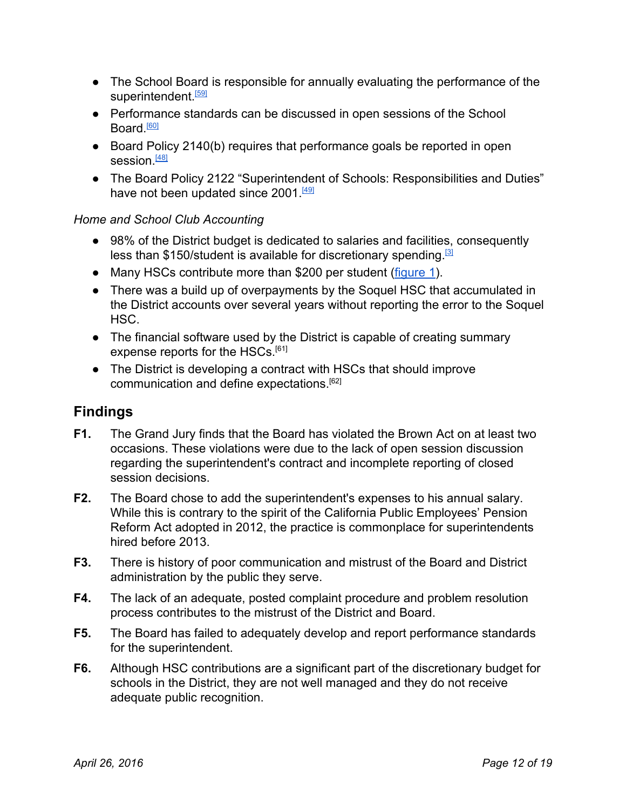- The School Board is responsible for annually evaluating the performance of the superintendent.<sup>[\[59\]](http://www.soqueldo.santacruz.k12.ca.us/board_policies/2000/BP2140.pdf)</sup>
- Performance standards can be discussed in open sessions of the School Board.<sup>[\[60\]](https://firstamendmentcoalition.org/2014/08/aa-school-superintendent-goals-public-private/)</sup>
- Board Policy 2140(b) requires that performance goals be reported in open session.<sup>[\[48\]](http://www.soqueldo.santacruz.k12.ca.us/board_policies/2000/BP2140.pdf)</sup>
- The Board Policy 2122 "Superintendent of Schools: Responsibilities and Duties" have not been updated since 2001.<sup>[\[49\]](http://www.soqueldo.santacruz.k12.ca.us/board_policies/2000/BP2122.pdf)</sup>

#### *Home and School Club Accounting*

- 98% of the District budget is dedicated to salaries and facilities, consequently less than \$150/student is available for discretionary spending.<sup>[\[3\]](http://www.ed-data.k12.ca.us/App_Resx/EdDataClassic/fsTwoPanel.aspx?#!bottom=/_layouts/EdDataClassic/profile.asp?tab=1&level=05&ReportNumber=16&County=44&fyr=1314)</sup>
- Many HSCs contribute more than \$200 per student [\(figure](#page-3-0) 1).
- There was a build up of overpayments by the Soquel HSC that accumulated in the District accounts over several years without reporting the error to the Soquel HSC.
- The financial software used by the District is capable of creating summary expense reports for the HSCs.<sup>[61]</sup>
- The District is developing a contract with HSCs that should improve communication and define expectations. [62]

# **Findings**

- **F1.** The Grand Jury finds that the Board has violated the Brown Act on at least two occasions. These violations were due to the lack of open session discussion regarding the superintendent's contract and incomplete reporting of closed session decisions.
- **F2.** The Board chose to add the superintendent's expenses to his annual salary. While this is contrary to the spirit of the California Public Employees' Pension Reform Act adopted in 2012, the practice is commonplace for superintendents hired before 2013.
- **F3.** There is history of poor communication and mistrust of the Board and District administration by the public they serve.
- **F4.** The lack of an adequate, posted complaint procedure and problem resolution process contributes to the mistrust of the District and Board.
- **F5.** The Board has failed to adequately develop and report performance standards for the superintendent.
- **F6.** Although HSC contributions are a significant part of the discretionary budget for schools in the District, they are not well managed and they do not receive adequate public recognition.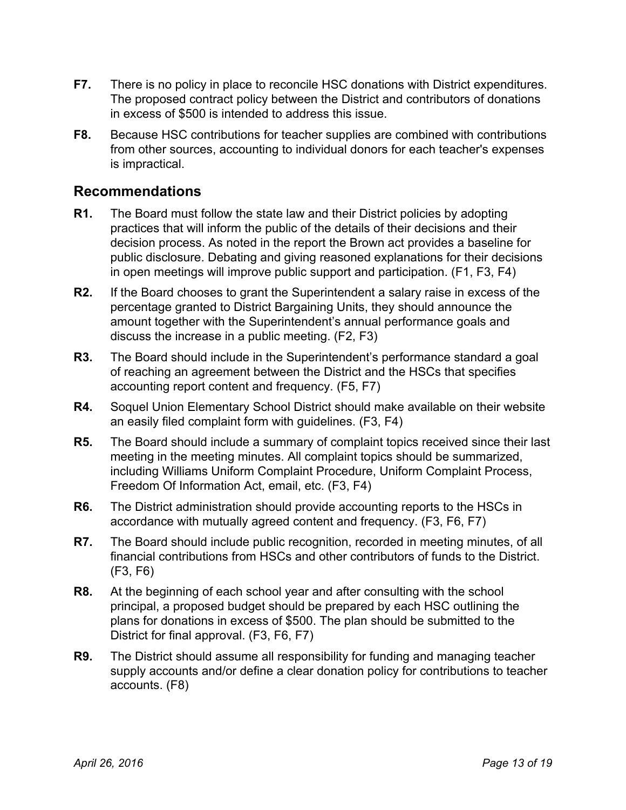- **F7.** There is no policy in place to reconcile HSC donations with District expenditures. The proposed contract policy between the District and contributors of donations in excess of \$500 is intended to address this issue.
- **F8.** Because HSC contributions for teacher supplies are combined with contributions from other sources, accounting to individual donors for each teacher's expenses is impractical.

### **Recommendations**

- **R1.** The Board must follow the state law and their District policies by adopting practices that will inform the public of the details of their decisions and their decision process. As noted in the report the Brown act provides a baseline for public disclosure. Debating and giving reasoned explanations for their decisions in open meetings will improve public support and participation. (F1, F3, F4)
- **R2.** If the Board chooses to grant the Superintendent a salary raise in excess of the percentage granted to District Bargaining Units, they should announce the amount together with the Superintendent's annual performance goals and discuss the increase in a public meeting. (F2, F3)
- **R3.** The Board should include in the Superintendent's performance standard a goal of reaching an agreement between the District and the HSCs that specifies accounting report content and frequency. (F5, F7)
- **R4.** Soquel Union Elementary School District should make available on their website an easily filed complaint form with guidelines. (F3, F4)
- **R5.** The Board should include a summary of complaint topics received since their last meeting in the meeting minutes. All complaint topics should be summarized, including Williams Uniform Complaint Procedure, Uniform Complaint Process, Freedom Of Information Act, email, etc. (F3, F4)
- **R6.** The District administration should provide accounting reports to the HSCs in accordance with mutually agreed content and frequency. (F3, F6, F7)
- **R7.** The Board should include public recognition, recorded in meeting minutes, of all financial contributions from HSCs and other contributors of funds to the District. (F3, F6)
- **R8.** At the beginning of each school year and after consulting with the school principal, a proposed budget should be prepared by each HSC outlining the plans for donations in excess of \$500. The plan should be submitted to the District for final approval. (F3, F6, F7)
- **R9.** The District should assume all responsibility for funding and managing teacher supply accounts and/or define a clear donation policy for contributions to teacher accounts. (F8)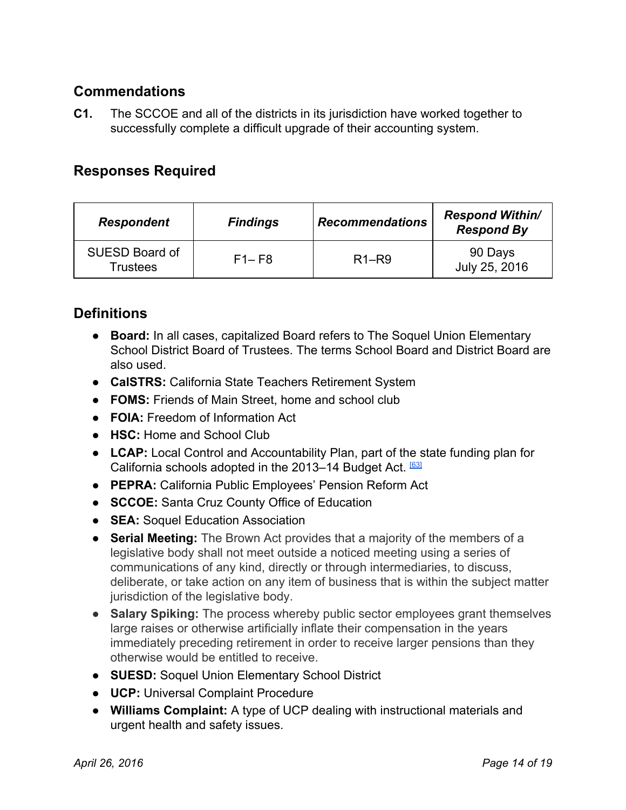# **Commendations**

**C1.** The SCCOE and all of the districts in its jurisdiction have worked together to successfully complete a difficult upgrade of their accounting system.

# **Responses Required**

| <b>Respondent</b>                        | <b>Findings</b> | <b>Recommendations</b>         | <b>Respond Within/</b><br><b>Respond By</b> |
|------------------------------------------|-----------------|--------------------------------|---------------------------------------------|
| <b>SUESD Board of</b><br><b>Trustees</b> | $F1 - F8$       | R <sub>1</sub> -R <sub>9</sub> | 90 Days<br>July 25, 2016                    |

# **Definitions**

- **Board:** In all cases, capitalized Board refers to The Soquel Union Elementary School District Board of Trustees. The terms School Board and District Board are also used.
- **CalSTRS:**California State Teachers Retirement System
- **FOMS:** Friends of Main Street, home and school club
- **FOIA:**Freedom of Information Act
- **HSC:**Home and School Club
- **LCAP:**Local Control and Accountability Plan, part of the state funding plan for California schools adopted in the 2013-14 Budget Act. [\[63\]](http://achieve.lausd.net/lcap)
- **PEPRA:**California Public Employees' Pension Reform Act
- **SCCOE:**Santa Cruz County Office of Education
- **SEA:**Soquel Education Association
- <span id="page-13-1"></span>● **Serial Meeting:**The Brown Act provides that a majority of the members of a legislative body shall not meet outside a noticed meeting using a series of communications of any kind, directly or through intermediaries, to discuss, deliberate, or take action on any item of business that is within the subject matter jurisdiction of the legislative body.
- <span id="page-13-0"></span>● **Salary Spiking:**The process whereby public sector employees grant themselves large raises or otherwise artificially inflate their compensation in the years immediately preceding retirement in order to receive larger pensions than they otherwise would be entitled to receive.
- **SUESD:**Soquel Union Elementary School District
- **UCP:**Universal Complaint Procedure
- **● Williams Complaint:** A type of UCP dealing with instructional materials and urgent health and safety issues.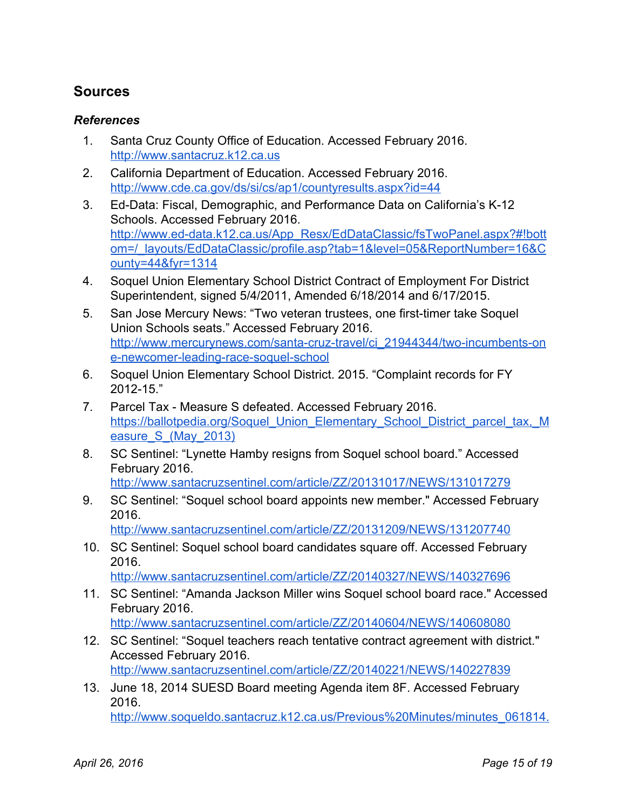# **Sources**

#### *References*

- 1. Santa Cruz County Office of Education. Accessed February 2016. [http://www.santacruz.k12.ca.us](http://www.santacruz.k12.ca.us/)
- 2. California Department of Education. Accessed February 2016. <http://www.cde.ca.gov/ds/si/cs/ap1/countyresults.aspx?id=44>
- 3. Ed-Data: Fiscal, Demographic, and Performance Data on California's K-12 Schools. Accessed February 2016. http://www.ed-data.k12.ca.us/App\_Resx/EdDataClassic/fsTwoPanel.aspx?#!bott [om=/\\_layouts/EdDataClassic/profile.asp?tab=1&level=05&ReportNumber=16&C](http://www.ed-data.k12.ca.us/App_Resx/EdDataClassic/fsTwoPanel.aspx?#!bottom=/_layouts/EdDataClassic/profile.asp?tab=1&level=05&ReportNumber=16&County=44&fyr=1314) [ounty=44&fyr=1314](http://www.ed-data.k12.ca.us/App_Resx/EdDataClassic/fsTwoPanel.aspx?#!bottom=/_layouts/EdDataClassic/profile.asp?tab=1&level=05&ReportNumber=16&County=44&fyr=1314)
- 4. Soquel Union Elementary School District Contract of Employment For District Superintendent, signed 5/4/2011, Amended 6/18/2014 and 6/17/2015.
- 5. San Jose Mercury News: "Two veteran trustees, one first-timer take Soquel Union Schools seats." Accessed February 2016. http://www.mercurynews.com/santa-cruz-travel/ci\_21944344/two-incumbents-on e-newcomer-leading-race-soquel-school
- 6. Soquel Union Elementary School District. 2015. "Complaint records for FY  $2012 - 15."$
- 7. Parcel Tax Measure S defeated. Accessed February 2016. [https://ballotpedia.org/Soquel\\_Union\\_Elementary\\_School\\_District\\_parcel\\_tax,\\_M](https://ballotpedia.org/Soquel_Union_Elementary_School_District_parcel_tax,_Measure_S_(May_2013)) easure S (May 2013)
- 8. SC Sentinel: "Lynette Hamby resigns from Soquel school board." Accessed February 2016.
	- <http://www.santacruzsentinel.com/article/ZZ/20131017/NEWS/131017279>
- 9. SC Sentinel: "Soquel school board appoints new member." Accessed February 2016.

<http://www.santacruzsentinel.com/article/ZZ/20131209/NEWS/131207740>

10. SC Sentinel: Soquel school board candidates square off. Accessed February 2016.

<http://www.santacruzsentinel.com/article/ZZ/20140327/NEWS/140327696>

- 11. SC Sentinel: "Amanda Jackson Miller wins Soquel school board race." Accessed February 2016. <http://www.santacruzsentinel.com/article/ZZ/20140604/NEWS/140608080>
- 12. SC Sentinel: "Soquel teachers reach tentative contract agreement with district." Accessed February 2016. <http://www.santacruzsentinel.com/article/ZZ/20140221/NEWS/140227839>
- 13. June 18, 2014 SUESD Board meeting Agenda item 8F. Accessed February 2016. [http://www.soqueldo.santacruz.k12.ca.us/Previous%20Minutes/minutes\\_061814.](http://www.soqueldo.santacruz.k12.ca.us/Previous%20Minutes/minutes_061814.pdf)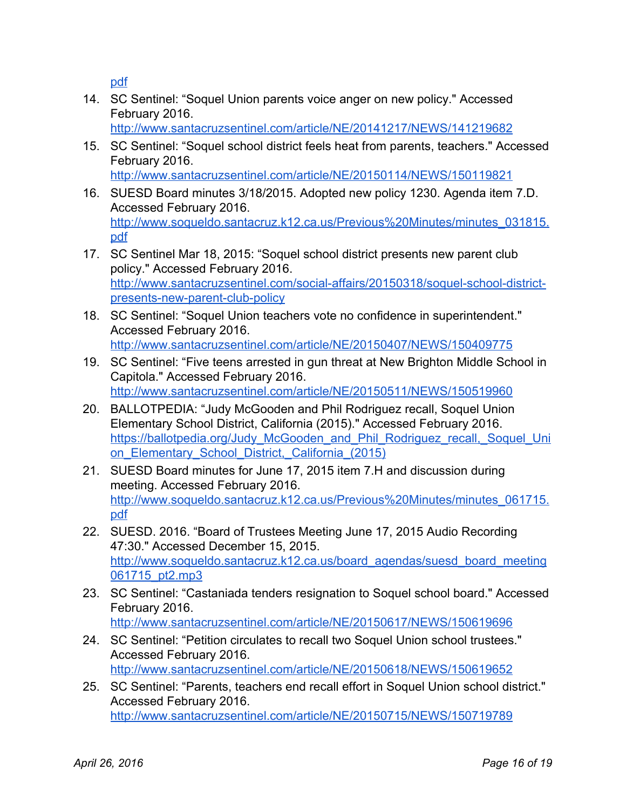[pdf](http://www.soqueldo.santacruz.k12.ca.us/Previous%20Minutes/minutes_061814.pdf)

14. SC Sentinel: "Soquel Union parents voice anger on new policy." Accessed February 2016.

<http://www.santacruzsentinel.com/article/NE/20141217/NEWS/141219682>

- 15. SC Sentinel: "Soquel school district feels heat from parents, teachers." Accessed February 2016. <http://www.santacruzsentinel.com/article/NE/20150114/NEWS/150119821>
- 16. SUESD Board minutes 3/18/2015. Adopted new policy 1230. Agenda item 7.D. Accessed February 2016. [http://www.soqueldo.santacruz.k12.ca.us/Previous%20Minutes/minutes\\_031815.](http://www.soqueldo.santacruz.k12.ca.us/Previous%20Minutes/minutes_031815.pdf) [pdf](http://www.soqueldo.santacruz.k12.ca.us/Previous%20Minutes/minutes_031815.pdf)
- 17. SC Sentinel Mar 18, 2015: "Soquel school district presents new parent club policy." Accessed February 2016. http://www.santacruzsentinel.com/social-affairs/20150318/soquel-school-districtpresents-new-parent-club-policy
- 18. SC Sentinel: "Soquel Union teachers vote no confidence in superintendent." Accessed February 2016. <http://www.santacruzsentinel.com/article/NE/20150407/NEWS/150409775>
- 19. SC Sentinel: "Five teens arrested in gun threat at New Brighton Middle School in Capitola." Accessed February 2016. <http://www.santacruzsentinel.com/article/NE/20150511/NEWS/150519960>
- 20. BALLOTPEDIA: "Judy McGooden and Phil Rodriguez recall, Soquel Union Elementary School District, California (2015)." Accessed February 2016. [https://ballotpedia.org/Judy\\_McGooden\\_and\\_Phil\\_Rodriguez\\_recall,\\_Soquel\\_Uni](https://ballotpedia.org/Judy_McGooden_and_Phil_Rodriguez_recall,_Soquel_Union_Elementary_School_District,_California_(2015)) on Elementary School District, California (2015)
- 21. SUESD Board minutes for June 17, 2015 item 7.H and discussion during meeting. Accessed February 2016. [http://www.soqueldo.santacruz.k12.ca.us/Previous%20Minutes/minutes\\_061715.](http://www.soqueldo.santacruz.k12.ca.us/Previous%20Minutes/minutes_061715.pdf) [pdf](http://www.soqueldo.santacruz.k12.ca.us/Previous%20Minutes/minutes_061715.pdf)
- 22. SUESD. 2016. "Board of Trustees Meeting June 17, 2015 Audio Recording 47:30." Accessed December 15, 2015. [http://www.soqueldo.santacruz.k12.ca.us/board\\_agendas/suesd\\_board\\_meeting](http://www.soqueldo.santacruz.k12.ca.us/board_agendas/suesd_board_meeting061715_pt2.mp3) [061715\\_pt2.mp3](http://www.soqueldo.santacruz.k12.ca.us/board_agendas/suesd_board_meeting061715_pt2.mp3)
- 23. SC Sentinel: "Castaniada tenders resignation to Soquel school board." Accessed February 2016. <http://www.santacruzsentinel.com/article/NE/20150617/NEWS/150619696>
- 24. SC Sentinel: "Petition circulates to recall two Soquel Union school trustees." Accessed February 2016. <http://www.santacruzsentinel.com/article/NE/20150618/NEWS/150619652>
- 25. SC Sentinel: "Parents, teachers end recall effort in Soquel Union school district." Accessed February 2016. <http://www.santacruzsentinel.com/article/NE/20150715/NEWS/150719789>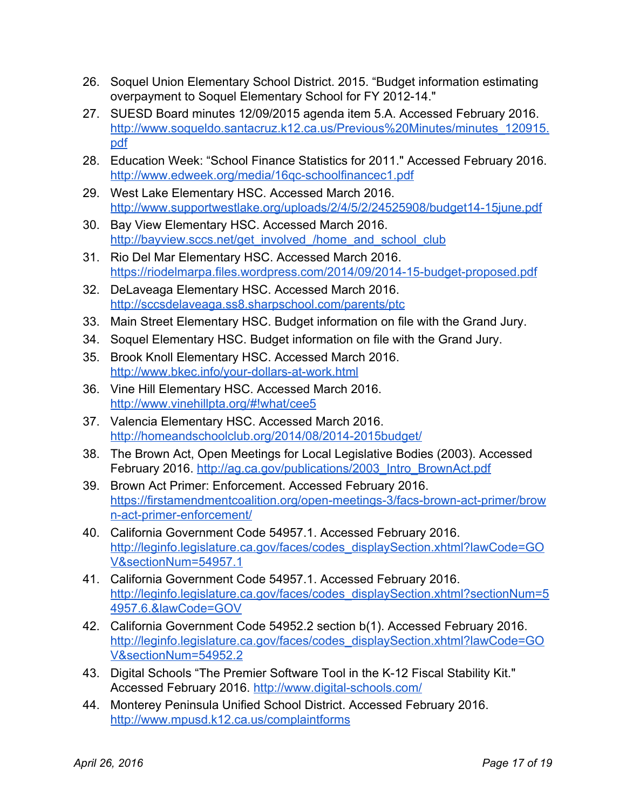- 26. Soquel Union Elementary School District. 2015. "Budget information estimating overpayment to Soquel Elementary School for FY 2012-14."
- 27. SUESD Board minutes 12/09/2015 agenda item 5.A. Accessed February 2016. [http://www.soqueldo.santacruz.k12.ca.us/Previous%20Minutes/minutes\\_120915.](http://www.soqueldo.santacruz.k12.ca.us/Previous%20Minutes/minutes_120915.pdf) [pdf](http://www.soqueldo.santacruz.k12.ca.us/Previous%20Minutes/minutes_120915.pdf)
- 28. Education Week: "School Finance Statistics for 2011." Accessed February 2016. http://www.edweek.org/media/16gc-schoolfinancec1.pdf
- 29. West Lake Elementary HSC. Accessed March 2016. http://www.supportwestlake.org/uploads/2/4/5/2/24525908/budget14-15june.pdf
- 30. Bay View Elementary HSC. Accessed March 2016. [http://bayview.sccs.net/get\\_involved\\_/home\\_and\\_school\\_club](http://bayview.sccs.net/get_involved_/home_and_school_club)
- 31. Rio Del Mar Elementary HSC. Accessed March 2016. https://riodelmarpa.files.wordpress.com/2014/09/2014-15-budget-proposed.pdf
- 32. DeLaveaga Elementary HSC. Accessed March 2016. <http://sccsdelaveaga.ss8.sharpschool.com/parents/ptc>
- 33. Main Street Elementary HSC. Budget information on file with the Grand Jury.
- 34. Soquel Elementary HSC. Budget information on file with the Grand Jury.
- 35. Brook Knoll Elementary HSC. Accessed March 2016. http://www.bkec.info/your-dollars-at-work.html
- 36. Vine Hill Elementary HSC. Accessed March 2016. <http://www.vinehillpta.org/#!what/cee5>
- 37. Valencia Elementary HSC. Accessed March 2016. http://homeandschoolclub.org/2014/08/2014-2015budget/
- 38. The Brown Act, Open Meetings for Local Legislative Bodies (2003). Accessed February 2016. [http://ag.ca.gov/publications/2003\\_Intro\\_BrownAct.pdf](http://ag.ca.gov/publications/2003_Intro_BrownAct.pdf)
- 39. Brown Act Primer: Enforcement. Accessed February 2016. https://firstamendmentcoalition.org/open-meetings-3/facs-brown-act-primer/brow n-act-primer-enforcement/
- 40. California Government Code 54957.1. Accessed February 2016. [http://leginfo.legislature.ca.gov/faces/codes\\_displaySection.xhtml?lawCode=GO](http://leginfo.legislature.ca.gov/faces/codes_displaySection.xhtml?lawCode=GOV§ionNum=54957.1) [V&sectionNum=54957.1](http://leginfo.legislature.ca.gov/faces/codes_displaySection.xhtml?lawCode=GOV§ionNum=54957.1)
- 41. California Government Code 54957.1. Accessed February 2016. [http://leginfo.legislature.ca.gov/faces/codes\\_displaySection.xhtml?sectionNum=5](http://leginfo.legislature.ca.gov/faces/codes_displaySection.xhtml?sectionNum=54957.6.&lawCode=GOV) [4957.6.&lawCode=GOV](http://leginfo.legislature.ca.gov/faces/codes_displaySection.xhtml?sectionNum=54957.6.&lawCode=GOV)
- 42. California Government Code 54952.2 section b(1). Accessed February 2016. [http://leginfo.legislature.ca.gov/faces/codes\\_displaySection.xhtml?lawCode=GO](http://leginfo.legislature.ca.gov/faces/codes_displaySection.xhtml?lawCode=GOV§ionNum=54952.2) [V&sectionNum=54952.2](http://leginfo.legislature.ca.gov/faces/codes_displaySection.xhtml?lawCode=GOV§ionNum=54952.2)
- 43. Digital Schools "The Premier Software Tool in the K-12 Fiscal Stability Kit." Accessed February 2016. http://www.digital-schools.com/
- 44. Monterey Peninsula Unified School District. Accessed February 2016. <http://www.mpusd.k12.ca.us/complaintforms>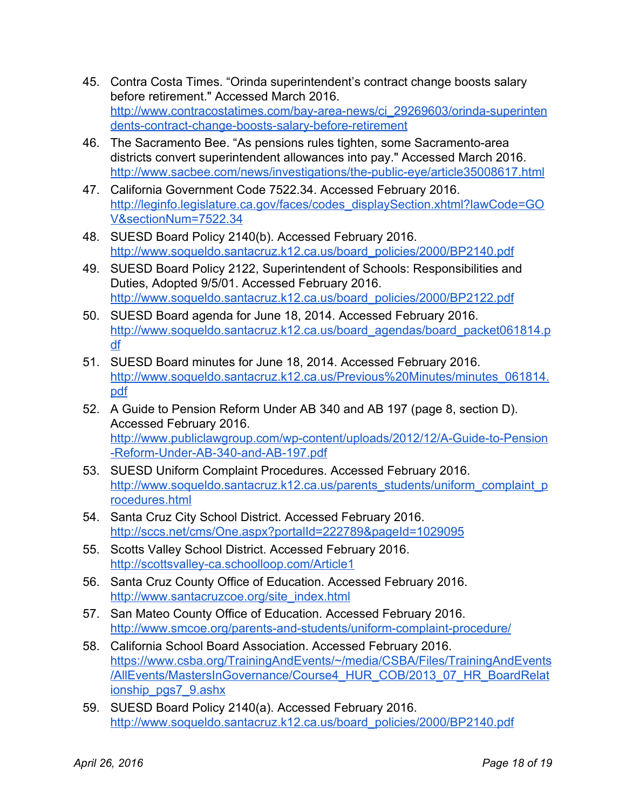- 45. Contra Costa Times. "Orinda superintendent's contract change boosts salary before retirement." Accessed March 2016. http://www.contracostatimes.com/bay-area-news/ci\_29269603/orinda-superinten dents-contract-change-boosts-salary-before-retirement
- 46. The Sacramento Bee. "As pensions rules tighten, some Sacramento-area districts convert superintendent allowances into pay." Accessed March 2016. http://www.sacbee.com/news/investigations/the-public-eye/article35008617.html
- 47. California Government Code 7522.34. Accessed February 2016. [http://leginfo.legislature.ca.gov/faces/codes\\_displaySection.xhtml?lawCode=GO](http://leginfo.legislature.ca.gov/faces/codes_displaySection.xhtml?lawCode=GOV§ionNum=7522.34) [V&sectionNum=7522.34](http://leginfo.legislature.ca.gov/faces/codes_displaySection.xhtml?lawCode=GOV§ionNum=7522.34)
- 48. SUESD Board Policy 2140(b). Accessed February 2016. [http://www.soqueldo.santacruz.k12.ca.us/board\\_policies/2000/BP2140.pdf](http://www.soqueldo.santacruz.k12.ca.us/board_policies/2000/BP2140.pdf)
- 49. SUESD Board Policy 2122, Superintendent of Schools: Responsibilities and Duties, Adopted 9/5/01. Accessed February 2016. [http://www.soqueldo.santacruz.k12.ca.us/board\\_policies/2000/BP2122.pdf](http://www.soqueldo.santacruz.k12.ca.us/board_policies/2000/BP2122.pdf)
- 50. SUESD Board agenda for June 18, 2014. Accessed February 2016. [http://www.soqueldo.santacruz.k12.ca.us/board\\_agendas/board\\_packet061814.p](http://www.soqueldo.santacruz.k12.ca.us/board_agendas/board_packet061814.pdf) [df](http://www.soqueldo.santacruz.k12.ca.us/board_agendas/board_packet061814.pdf)
- 51. SUESD Board minutes for June 18, 2014. Accessed February 2016. [http://www.soqueldo.santacruz.k12.ca.us/Previous%20Minutes/minutes\\_061814.](http://www.soqueldo.santacruz.k12.ca.us/Previous%20Minutes/minutes_061814.pdf) [pdf](http://www.soqueldo.santacruz.k12.ca.us/Previous%20Minutes/minutes_061814.pdf)
- 52. A Guide to Pension Reform Under AB 340 and AB 197 (page 8, section D). Accessed February 2016. http://www.publiclawgroup.com/wp-content/uploads/2012/12/A-Guide-to-Pension -Reform-Under-AB-340-and-AB-197.pdf
- 53. SUESD Uniform Complaint Procedures. Accessed February 2016. [http://www.soqueldo.santacruz.k12.ca.us/parents\\_students/uniform\\_complaint\\_p](http://www.soqueldo.santacruz.k12.ca.us/parents_students/uniform_complaint_procedures.html) [rocedures.html](http://www.soqueldo.santacruz.k12.ca.us/parents_students/uniform_complaint_procedures.html)
- 54. Santa Cruz City School District. Accessed February 2016. <http://sccs.net/cms/One.aspx?portalId=222789&pageId=1029095>
- 55. Scotts Valley School District. Accessed February 2016. http://scottsvalley-ca.schoolloop.com/Article1
- 56. Santa Cruz County Office of Education. Accessed February 2016. [http://www.santacruzcoe.org/site\\_index.html](http://www.santacruzcoe.org/site_index.html)
- 57. San Mateo County Office of Education. Accessed February 2016. http://www.smcoe.org/parents-and-students/uniform-complaint-procedure/
- 58. California School Board Association. Accessed February 2016. [https://www.csba.org/TrainingAndEvents/~/media/CSBA/Files/TrainingAndEvents](https://www.csba.org/TrainingAndEvents/~/media/CSBA/Files/TrainingAndEvents/AllEvents/MastersInGovernance/Course4_HUR_COB/2013_07_HR_BoardRelationship_pgs7_9.ashx) [/AllEvents/MastersInGovernance/Course4\\_HUR\\_COB/2013\\_07\\_HR\\_BoardRelat](https://www.csba.org/TrainingAndEvents/~/media/CSBA/Files/TrainingAndEvents/AllEvents/MastersInGovernance/Course4_HUR_COB/2013_07_HR_BoardRelationship_pgs7_9.ashx) [ionship\\_pgs7\\_9.ashx](https://www.csba.org/TrainingAndEvents/~/media/CSBA/Files/TrainingAndEvents/AllEvents/MastersInGovernance/Course4_HUR_COB/2013_07_HR_BoardRelationship_pgs7_9.ashx)
- 59. SUESD Board Policy 2140(a). Accessed February 2016. [http://www.soqueldo.santacruz.k12.ca.us/board\\_policies/2000/BP2140.pdf](http://www.soqueldo.santacruz.k12.ca.us/board_policies/2000/BP2140.pdf)